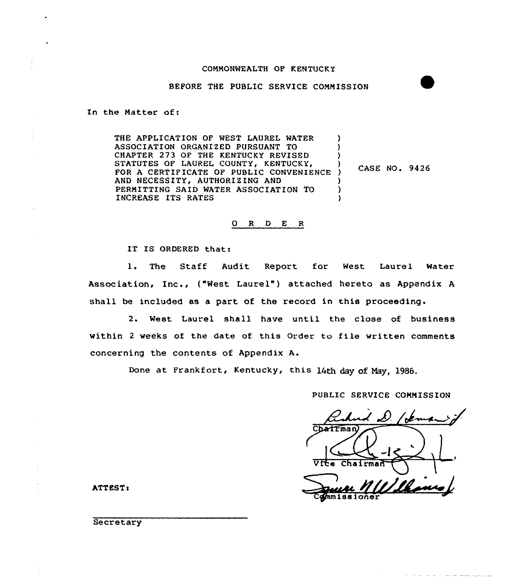### COMMONWEALTH OF KENTUCKY

## BEFORE THE PUBLIC SERVICE COMMISSION

In the Matter of:

THE APPLICATION OF WEST LAUREL WATER ASSOCIATION ORGANIZED PURSUANT TO CHAPTER 273 OF THE KENTUCKY REVISED STATUTES OF LAUREL COUNTY, KENTUCKY, A CERTIFICATE OF PUBLIC CONVENIENC AND NECESSITY, AUTHORIZING AND PERMITTING SAID WATER ASSOCIATION TO INCREASE ITS RATES ) ) ) ) CASE NO <sup>~</sup> 9426 ) ) )

## ORDER

IT IS ORDERED that:

l. The Staff Audit Report for West Laurel Water Association, Inc., ("West Laurel" ) attached hereto as Appendix <sup>A</sup> shall be included as a part of the record in this proceeding.

2. West Laurel shall have until the close of business within <sup>2</sup> weeks of the date of this Order to file written comments concerning the contents of Appendix A.

Done at Frankfort, Kentucky, this 14th day of Hay, 1986.

PUBLIC SERVICE COMMISSION

يمسمد hatrman Vice Chairman <u>Ils</u>u mnissioner

the same and state of the

ATTEST:

**Secretary**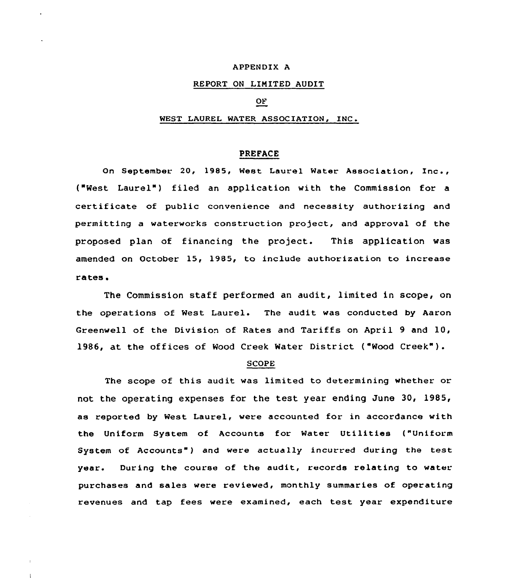# APPENDIX A

# REPORT ON LINITED AUDIT

# OF

#### WEST LAUREL WATER ASSOCIATION, INC.

## PREFACE

On September 20, 1985, West Laurel Water Association, Inc., ("West Laurel") filed an application with the Commission for a certificate of public convenience and necessity authorizing and permitting a waterworks construction project, and approval of the proposed plan of financing the project. This application was amended on October 15, 19B5, to include authorization to increase ra'tes <sup>~</sup>

The Commission staff performed an audit, limited in scope, on the operations of West Laurel. The audit was conducted by Aaron Greenwell of the Division of Rates and Tariffs on April 9 and 10, 1986, at the offices of Wood Creek Water District ("Wood Creek" ).

## SCOPE

The scope of this audit was limited to determining whether or not the operating expenses for the test year ending June 30, 1985, as reported by West Laurel, were accounted for in accordance with the Uniform System of Accounts for Water Utilities ("Uniform System of Accounts" ) and were actually incurred during the test year. During the course of the audit, records relating to water purchases and sales were reviewed, monthly summaries of operating revenues and tap fees were examined, each test year expenditure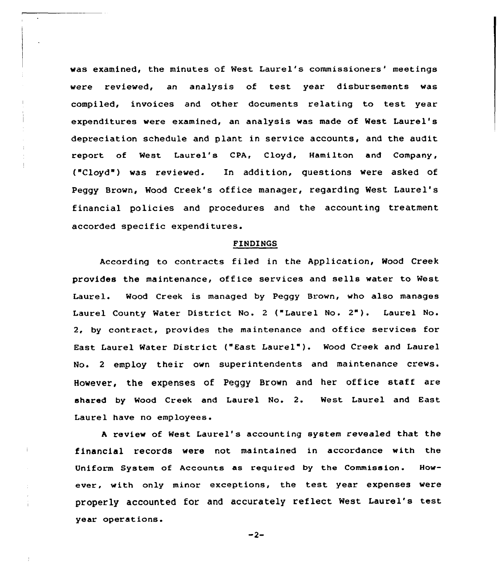was examined, the minutes of West Laurel's commissioners' meetings were reviewed, an analysis of test year disbursements was compiled, invoices and other documents relating to test year expenditures were examined, an analysis was made of West Laurel's depreciation schedule and plant in service accounts, and the audit report of West Laurel's CPA, Cloyd, Hamilton and Company, ("Cloyd") was reviewed. In addition, questions were asked of Peggy Brown, Wood Creek's office manager, regarding West Laurel's financial policies and procedures and the accounting treatment accorded specific expenditures.

 $\mathcal{L}$ 

#### FINDINGS

According to contracts filed in the Application< Wood Creek provides the maintenance, office services and sells water to West Laurel. Mood Creek is managed by Peggy Brown, who also manages Laurel County Water District No. <sup>2</sup> ("Laurel No. 2"). Laurel No. 2, by contract, provides the maintenance and office services for East Laurel Water District ("East Laurel"}. Wood Creek and Laurel No. <sup>2</sup> employ their own superintendents and maintenance crews. However, the expenses of Peggy Brown and her office staff are shared by Wood Creek and Laurel No. 2. West, Laurel and East Laurel have no employees.

<sup>A</sup> review of West Laurel's accounting system revealed that the financial records were not maintained in accordance with the Uniform System of Accounts as required by the Commission. However, with only minor exceptions, the test year expenses were properly accounted for and accurately reflect West Laurel's test year operat ions.

 $-2-$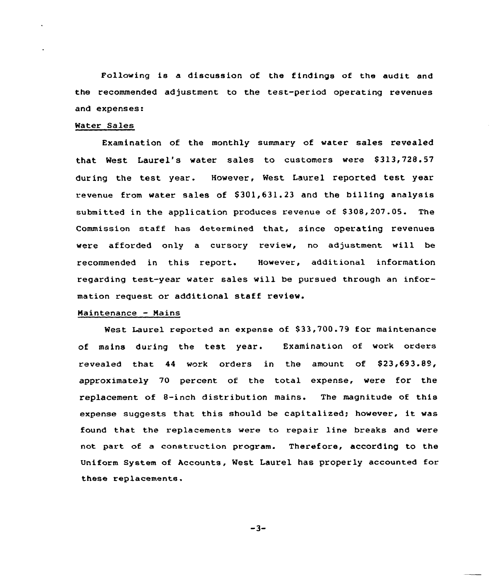Following is a discussion of the findings of the audit and the recommended adjustment to the test-period operating revenues and expenses:

# Water Sales

Examination of the monthly summary of water sales revealed that West Laurel's water sales to customers were \$313,728.57 during the test year. However, Nest Laurel reported test year revenue from water sales of \$301,631.23 and the billing analysis submitted in the application produces revenue of \$308,207.05. The Commission staff has determined that, since operating revenues were afforded only a cursory review, no adjustment will be recommended in this report. However, additional information regarding test-year water sales will be pursued through an information request or additional staff review.

## Maintenance — Nains

West Laurel reported an expense of \$33,700.79 for maintenance of mains during the test year. Examination of work orders revealed that  $44$  work orders in the amount of  $$23,693.89$ , approximately 70 percent of the total expense, were for the replacement of 8-inch distribution mains. The magnitude of this expense suggests that this should be capitalized; however, it was found that the replacements were to repair line breaks and were not part of a construction program. Therefore, according to the Uniform System of Accounts, West Laurel has properly accounted for these replacements.

 $-3-$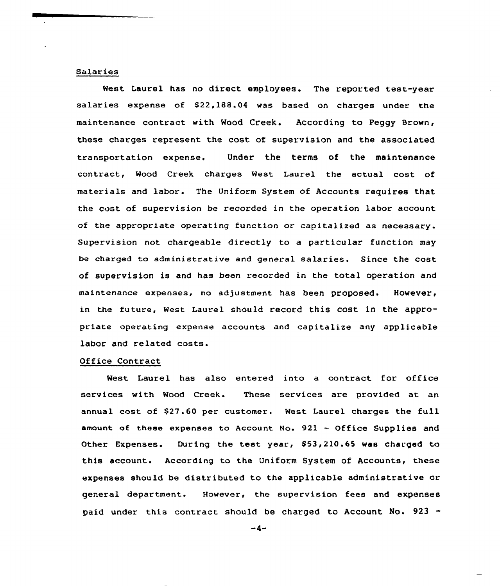# Salaries

West Laurel has no direct employees. The reported test-year salaries expense of \$22,188.04 was based on charges under the maintenance contract with Wood Creek. According to Peggy Brown, these charges represent the cost of supervision and the associated transportation expense. Under the terms of the maintenance contract, Wood Creek charges West Laurel the actual cost of materials and labor. The Uniform System of Accounts requires that the cost of supervision be recorded in the operation labor account of the appropriate operating function or capitalized as necessary. Supervision not chargeable directly to a particular function may be charged to administrative and general salaries. Since the cost of supervision is and has been recorded in the total operation and maintenance expenses, no adjustment has been proposed. However, in the future, West Laurel should record this cost in the appropriate operating expense accounts and capitalize any applicable labor and related costs.

#### Office Contract

West Laurel has also entered into a contract for office services with Wood Creek. These services are provided at an annual cost of \$27.60 per customer. West Laurel charges the full amount of these expenses to Account No. <sup>921</sup> - Of <sup>f</sup>ice Supplies and Other Expenses. During the test year, \$53,210.65 was charged to this account. According to the Uniform System of Accounts, these expenses should be distributed to the applicable administrative or general department. However, the supervision fees and expenses paid under this contract should be charged to Account No. 923 -

 $-4-$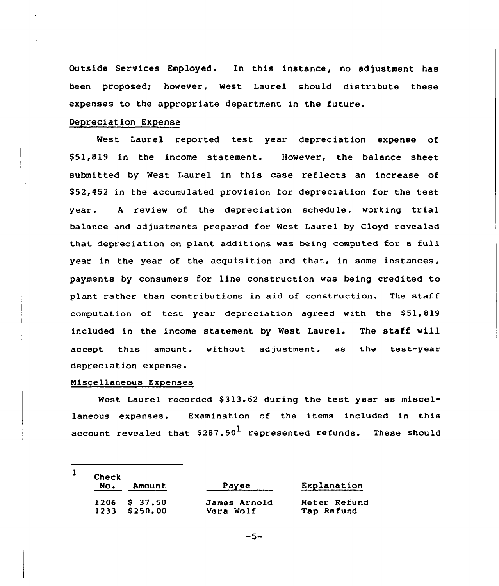Outside Services Employed. In this instance, no adjustment has been proposed; however, West Laurel should distribute these expenses to the appropriate department in the future.

# Depreciation Expense

West Laurel reported test year depreciation expense of \$ 51,819 in the income statement. However, the balance sheet submitted by West Laurel in this case reflects an increase of \$ 52,452 in the accumulated provision for depreciation for the test year. <sup>A</sup> review of the depreciation schedule, working trial balance and adjustments prepared for West Laurel by Cloyd revealed that depreciation on plant additions was being computed for a full year in the year of the acquisition and that, in some instances, payments by consumers for line construction was being credited to plant rather than contributions in aid of construction. The staff computation of test year depreciation agreed with the S51,819 included in the income statement by West Laurel. The staff will accept this amount, without adjustment, as the test-year depreciation expense.

# Miscellaneous Expenses

 $\mathbf{1}$ 

West Laurel recorded S313.62 during the test year as miscellaneous expenses. Examination of the items included in this account revealed that  $$287.50<sup>1</sup>$  represented refunds. These should

| Explanation  |
|--------------|
| Meter Refund |
| Tap Refund   |
|              |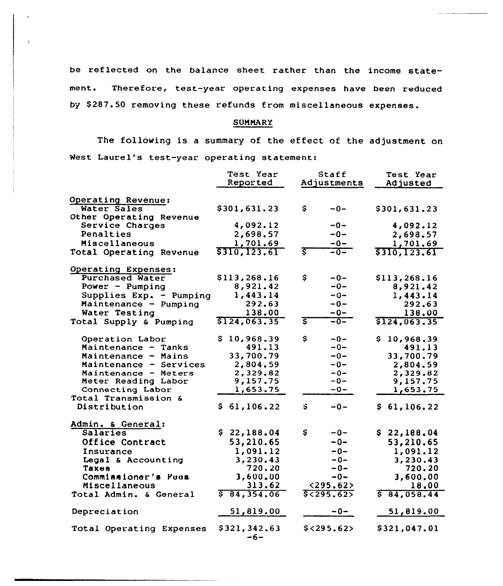be reflected on the balance sheet rather than the income statement. Therefore, test-year operating expenses have been reduce by \$287.50 removing these refunds from miscellaneous expenses

# SUMMARY

The following is a summary of the effect of the adjustment on West Laurel's test-year operating statement:

|                                   | Test Year<br>Reported | Staff<br>Adjustments | Test Year<br>Adjusted |
|-----------------------------------|-----------------------|----------------------|-----------------------|
|                                   |                       |                      |                       |
| Operating Revenue:<br>Water Sales | \$301,631.23          | \$.<br>$-0-$         | \$301,631.23          |
| Other Operating Revenue           |                       |                      |                       |
| Service Charges                   | 4,092.12              | $-0-$                | 4,092.12              |
| Penalties                         | 2,698.57              | $-0-$                | 2,698.57              |
| Miscellaneous                     | 1,701.69              | $-0-$                | 1,701.69              |
| Total Operating Revenue           | \$310,123.61          | इ                    | \$310,123.61          |
|                                   |                       |                      |                       |
| Operating Expenses:               |                       |                      |                       |
| <b>Purchased Water</b>            | \$113,268.16          | \$<br>$-0-$          | \$113,268.16          |
| Power - Pumping                   | 8,921.42              | $-0-$                | 8,921.42              |
| Supplies Exp. - Pumping           | 1,443.14              | $-0-$                | 1,443.14              |
| Maintenance - Pumping             | 292.63                | $-0-$                | 292.63                |
| Water Testing                     | 138.00                | $-0-$                | 138.00                |
| Total Supply & Pumping            | \$124,063.35          | इ<br>$-0-$           | \$124,063.35          |
|                                   |                       |                      |                       |
| Operation Labor                   | \$10,968.39           | \$<br>$-0-$          | 10,968.39<br>S.       |
| Maintenance - Tanks               | 491.13                | $-0-$                | 491.13                |
| Maintenance - Mains               | 33,700.79             | $-0-$                | 33,700.79             |
| Maintenance - Services            | 2,804.59              | $-0-$                | 2,804.59              |
| Maintenance - Meters              | 2,329.82              | $-0-$                | 2,329.82              |
| Meter Reading Labor               | 9,157.75              | -0-                  | 9,157.75              |
| Connecting Labor                  | 1,653.75              | $-0-$                | 1,653.75              |
| Total Transmission &              |                       |                      |                       |
| Distribution                      | \$61,106.22           | $\ddot{s}$<br>$-0-$  | \$61,106.22           |
|                                   |                       |                      |                       |
| Admin. & General:                 |                       |                      |                       |
| Salaries                          | \$22,188.04           | Ş<br>$-0-$           | \$22,188.04           |
| Office Contract                   | 53,210.65             | $-0-$                | 53,210.65             |
| Insurance                         | 1,091.12              | $-0-$                | 1,091.12              |
| Legal & Accounting                | 3,230.43              | $-0-$                | 3,230.43              |
| Taxes                             | 720.20                | -0-                  | 720.20                |
| Commissioner's Fees               | 3,600.00              | $-0-$                | 3,600.00              |
| Miscellaneous                     | 313.62                | <295.62>             | 18.00                 |
| Total Admin. & General            | 584, 354.06           | 5< 295.62            | \$84,058.44           |
| Depreciation                      | 51,819.00             | -0-                  | 51,819.00             |
| Total Operating Expenses          | \$321,342.63<br>$-6-$ | $$<$ 295.62>         | \$321,047.01          |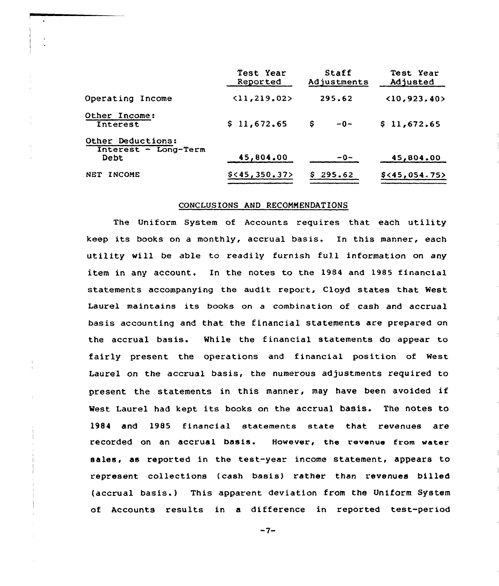|                                                   | Test Year<br>Reported        | Staff<br>Adjustments | Test Year<br>Adjusted |
|---------------------------------------------------|------------------------------|----------------------|-----------------------|
| Operating Income                                  | $\langle 11, 219.02 \rangle$ | 295.62               | (10, 923.40)          |
| Other Income:<br>Interest                         | \$11,672.65                  | S<br>$-0-$           | \$11,672.65           |
| Other Deductions:<br>Interest - Long-Term<br>Debt | 45,804.00                    | $-0-$                | 45,804.00             |
| <b>INCOME</b><br><b>NET</b>                       | $$<$ 45,350.37>              | \$295.62             | \$ < 45,054.75        |

# CONCLUSIONS AND RECOMMENDATIONS

The Uniform System of Accounts requires that each utility keep its books on a monthly, accrual basis. In this manner, each utility vill be able to readily furnish full information on any item in any account. In the notes to the 1984 and 1985 financial statements accompanying the audit report, Cloyd states that West Laurel maintains its books on a combination of cash and accrual basis accounting and that the financial statements are prepared on the accrual basis. While the financial statements do appear to fairly present the operations and financial position of West Laurel on the accrual basis, the numerous adjustments required to present the statements in this manner, may have been avoided if West Laurel had kept its books on the accrual basis. The notes to 1984 and 1985 financial statements state that revenues are recorded on an accrual basis. However, the revenue from water sales, as reported in the test-year income statement, appears to represent collections (cash basis) rather than revenues billed (accrual basis.) This apparent deviation from the Uniform System of Accounts results in a difference in reported test-period

 $-7-$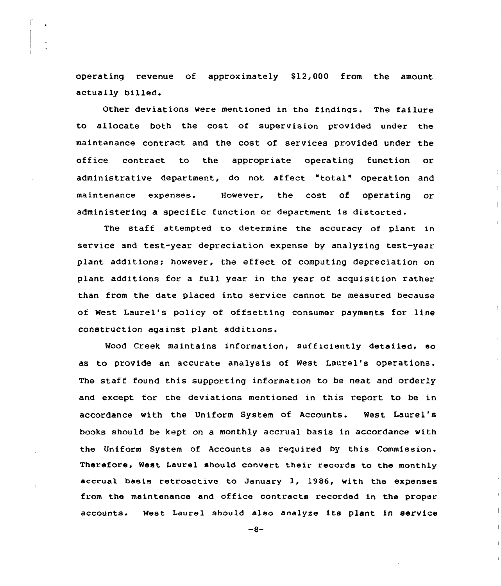operating revenue of approximately 812,000 from the amount actually billed.

Other deviations were mentioned in the findings. The failure to allocate both the cost of supervision provided under the maintenance contract and the cost of services provided under the office contract to the appropriate operating function or administrative department, do not affect "total" operation and maintenance expenses. However, the cost of operating or administering a specific function or department is distorted.

The staff attempted to determine the accuracy of plant in service and test-year depreciation expense by analyzing test-year plant additions; however, the effect of computing depreciation on plant additions for a full year in the year of acquisition rather than from the date placed into service cannot be measured because of West Laurel's policy of offsetting consumer payments for line construction against plant additions.

Wood Creek maintains information, sufficiently detailed, so as to provide an accurate analysis of West Laurel's operations. The staff found this supporting information to be neat and orderly and except for the deviations mentioned in this report to be in accordance with the Uniform System of Accounts. Nest Laurel's books should be kept on a monthly accrual basis in accordance with the Uniform System of Accounts as required by this Commission. Therefore, Nest Laurel should convert their records to the monthly accrual basis retroactive to January  $1$ , 1986, with the expenses from the maintenance and office contracts recorded in the proper accounts. West Laurel should also analyze its plant in service

 $-8-$